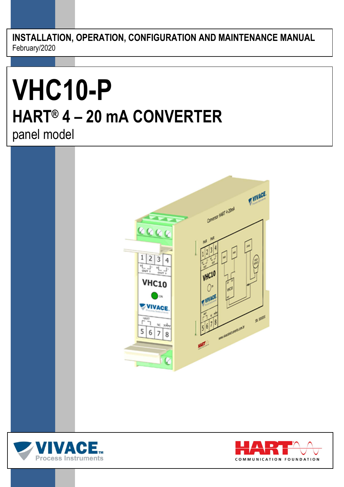**INSTALLATION, OPERATION, CONFIGURATION AND MAINTENANCE MANUAL**  February/2020

# **VHC10-P HART® 4 – 20 mA CONVERTER** panel model





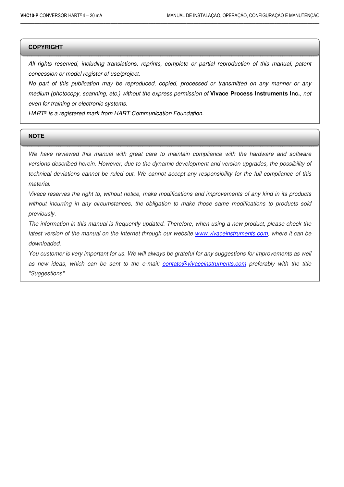#### **COPYRIGHT**

All rights reserved, including translations, reprints, complete or partial reproduction of this manual, patent concession or model register of use/project.

 $\Box$  . The contribution of the contribution of the contribution of the contribution of the contribution of the contribution of the contribution of the contribution of the contribution of the contribution of the contributi

No part of this publication may be reproduced, copied, processed or transmitted on any manner or any medium (photocopy, scanning, etc.) without the express permission of **Vivace Process Instruments Inc.**, not even for training or electronic systems.

HART<sup>®</sup> is a registered mark from HART Communication Foundation.

#### **NOTE**

We have reviewed this manual with great care to maintain compliance with the hardware and software versions described herein. However, due to the dynamic development and version upgrades, the possibility of technical deviations cannot be ruled out. We cannot accept any responsibility for the full compliance of this material.

Vivace reserves the right to, without notice, make modifications and improvements of any kind in its products without incurring in any circumstances, the obligation to make those same modifications to products sold previously.

The information in this manual is frequently updated. Therefore, when using a new product, please check the latest version of the manual on the Internet through our website www.vivaceinstruments.com, where it can be downloaded.

You customer is very important for us. We will always be grateful for any suggestions for improvements as well as new ideas, which can be sent to the e-mail: contato@vivaceinstruments.com preferably with the title "Suggestions".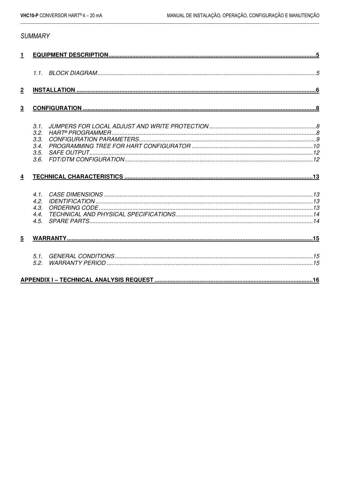# **SUMMARY**

| 1               |                                              |  |  |
|-----------------|----------------------------------------------|--|--|
|                 |                                              |  |  |
| $\mathbf 2$     |                                              |  |  |
| $\mathbf 3$     |                                              |  |  |
|                 | 3.1.<br>3.2.<br>3.3.<br>3.4.<br>3.5.<br>3.6. |  |  |
| $\overline{4}$  |                                              |  |  |
|                 | 41<br>4.2.<br>4.3.<br>4.4.<br>4.5.           |  |  |
| $5\phantom{.0}$ |                                              |  |  |
|                 | 5.1.<br>5.2.                                 |  |  |
|                 |                                              |  |  |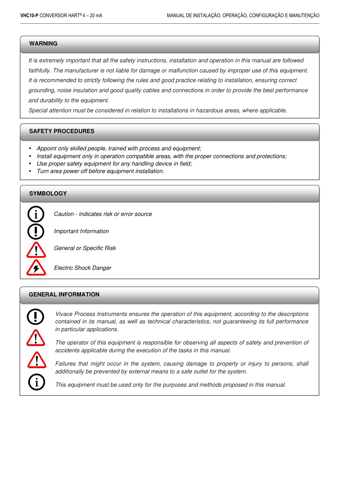#### **WARNING**

**1** 

It is extremely important that all the safety instructions, installation and operation in this manual are followed faithfully. The manufacturer is not liable for damage or malfunction caused by improper use of this equipment. It is recommended to strictly following the rules and good practice relating to installation, ensuring correct grounding, noise insulation and good quality cables and connections in order to provide the best performance and durability to the equipment.

 $\Box$  . The contribution of the contribution of the contribution of the contribution of the contribution of the contribution of the contribution of the contribution of the contribution of the contribution of the contributi

Special attention must be considered in relation to installations in hazardous areas, where applicable.

#### **SAFETY PROCEDURES**

- Appoint only skilled people, trained with process and equipment;
- Install equipment only in operation compatible areas, with the proper connections and protections;
- Use proper safety equipment for any handling device in field;
- Turn area power off before equipment installation.

#### **SYMBOLOGY**



Caution - indicates risk or error source

Important Information

General or Specific Risk

Electric Shock Danger

#### **GENERAL INFORMATION**



Vivace Process Instruments ensures the operation of this equipment, according to the descriptions contained in its manual, as well as technical characteristics, not guaranteeing its full performance in particular applications.

The operator of this equipment is responsible for observing all aspects of safety and prevention of accidents applicable during the execution of the tasks in this manual.

Failures that might occur in the system, causing damage to property or injury to persons, shall additionally be prevented by external means to a safe outlet for the system.

This equipment must be used only for the purposes and methods proposed in this manual.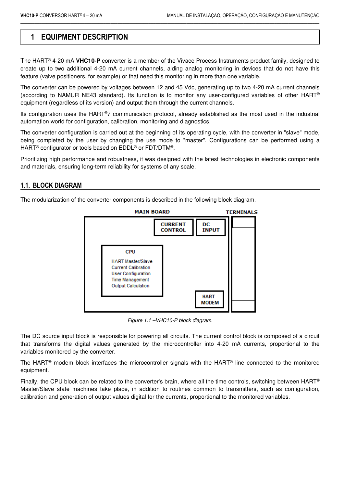# **1 EQUIPMENT DESCRIPTION**

The HART® 4-20 mA **VHC10-P** converter is a member of the Vivace Process Instruments product family, designed to create up to two additional 4-20 mA current channels, aiding analog monitoring in devices that do not have this feature (valve positioners, for example) or that need this monitoring in more than one variable.

 $\Box$  . The contribution of the contribution of the contribution of the contribution of the contribution of the contribution of the contribution of the contribution of the contribution of the contribution of the contributi

The converter can be powered by voltages between 12 and 45 Vdc, generating up to two 4-20 mA current channels (according to NAMUR NE43 standard). Its function is to monitor any user-configured variables of other HART® equipment (regardless of its version) and output them through the current channels.

Its configuration uses the HART®7 communication protocol, already established as the most used in the industrial automation world for configuration, calibration, monitoring and diagnostics.

The converter configuration is carried out at the beginning of its operating cycle, with the converter in "slave" mode, being completed by the user by changing the use mode to "master". Configurations can be performed using a HART® configurator or tools based on EDDL® or FDT/DTM®.

Prioritizing high performance and robustness, it was designed with the latest technologies in electronic components and materials, ensuring long-term reliability for systems of any scale.

#### **1.1. BLOCK DIAGRAM**

The modularization of the converter components is described in the following block diagram.



Figure 1.1 –VHC10-P block diagram.

The DC source input block is responsible for powering all circuits. The current control block is composed of a circuit that transforms the digital values generated by the microcontroller into 4-20 mA currents, proportional to the variables monitored by the converter.

The HART® modem block interfaces the microcontroller signals with the HART® line connected to the monitored equipment.

Finally, the CPU block can be related to the converter's brain, where all the time controls, switching between HART<sup>®</sup> Master/Slave state machines take place, in addition to routines common to transmitters, such as configuration, calibration and generation of output values digital for the currents, proportional to the monitored variables.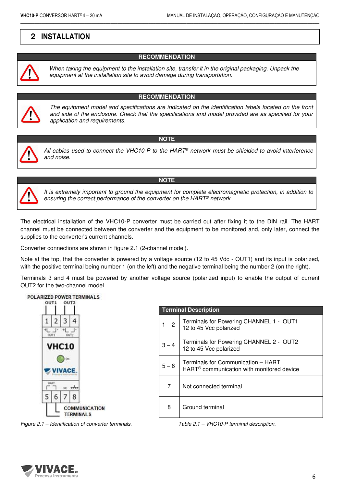# **2 INSTALLATION**



When taking the equipment to the installation site, transfer it in the original packaging. Unpack the equipment at the installation site to avoid damage during transportation.

 $\Box$  . The contribution of the contribution of the contribution of the contribution of the contribution of the contribution of the contribution of the contribution of the contribution of the contribution of the contributi

#### **RECOMMENDATION**

**RECOMMENDATION**



The equipment model and specifications are indicated on the identification labels located on the front and side of the enclosure. Check that the specifications and model provided are as specified for your application and requirements.

# **NOTE**



All cables used to connect the VHC10-P to the HART<sup>®</sup> network must be shielded to avoid interference and noise.



#### **NOTE**

It is extremely important to ground the equipment for complete electromagnetic protection, in addition to ensuring the correct performance of the converter on the HART® network.

The electrical installation of the VHC10-P converter must be carried out after fixing it to the DIN rail. The HART channel must be connected between the converter and the equipment to be monitored and, only later, connect the supplies to the converter's current channels.

Converter connections are shown in figure 2.1 (2-channel model).

Note at the top, that the converter is powered by a voltage source (12 to 45 Vdc - OUT1) and its input is polarized, with the positive terminal being number 1 (on the left) and the negative terminal being the number 2 (on the right).

Terminals 3 and 4 must be powered by another voltage source (polarized input) to enable the output of current OUT2 for the two-channel model.



**Terminal Description**  1 – 2 | Terminals for Powering CHANNEL 1 - OUT1 12 to 45 Vcc polarized 3-4 Terminals for Powering CHANNEL 2 - OUT2 12 to 45 Vcc polarized  $5 - 6$  Terminals for Communication – HART HART® communication with monitored device 7 Not connected terminal 8 | Ground terminal

Figure 2.1 – Identification of converter terminals. Table 2.1 – VHC10-P terminal description.

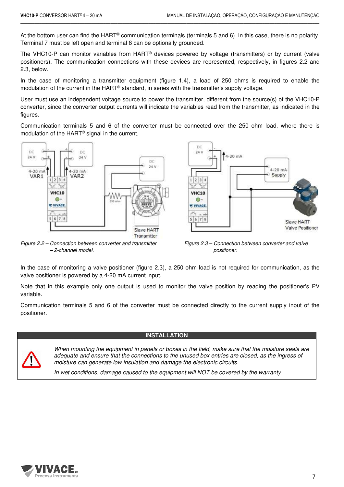At the bottom user can find the HART® communication terminals (terminals 5 and 6). In this case, there is no polarity. Terminal 7 must be left open and terminal 8 can be optionally grounded.

 $\Box$  . The contribution of the contribution of the contribution of the contribution of the contribution of the contribution of the contribution of the contribution of the contribution of the contribution of the contributi

The VHC10-P can monitor variables from HART® devices powered by voltage (transmitters) or by current (valve positioners). The communication connections with these devices are represented, respectively, in figures 2.2 and 2.3, below.

In the case of monitoring a transmitter equipment (figure 1.4), a load of 250 ohms is required to enable the modulation of the current in the HART® standard, in series with the transmitter's supply voltage.

User must use an independent voltage source to power the transmitter, different from the source(s) of the VHC10-P converter, since the converter output currents will indicate the variables read from the transmitter, as indicated in the figures.

Communication terminals 5 and 6 of the converter must be connected over the 250 ohm load, where there is modulation of the HART® signal in the current.





Figure 2.2 – Connection between converter and transmitter Figure 2.3 – Connection between converter and valve – 2-channel model. positioner.

In the case of monitoring a valve positioner (figure 2.3), a 250 ohm load is not required for communication, as the valve positioner is powered by a 4-20 mA current input.

Note that in this example only one output is used to monitor the valve position by reading the positioner's PV variable.

Communication terminals 5 and 6 of the converter must be connected directly to the current supply input of the positioner.

#### **INSTALLATION**



When mounting the equipment in panels or boxes in the field, make sure that the moisture seals are adequate and ensure that the connections to the unused box entries are closed, as the ingress of moisture can generate low insulation and damage the electronic circuits.

In wet conditions, damage caused to the equipment will NOT be covered by the warranty.

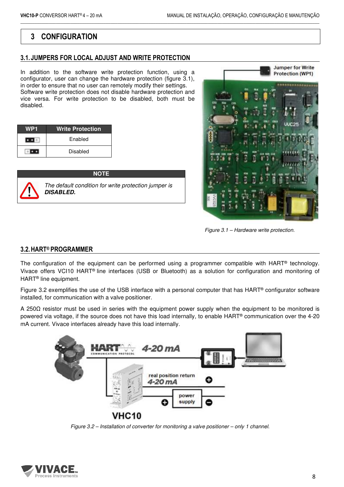# **3 CONFIGURATION**

## **3.1. JUMPERS FOR LOCAL ADJUST AND WRITE PROTECTION**

In addition to the software write protection function, using a configurator, user can change the hardware protection (figure 3.1), in order to ensure that no user can remotely modify their settings. Software write protection does not disable hardware protection and vice versa. For write protection to be disabled, both must be disabled.

| WP <sub>1</sub> | <b>Write Protection</b> |
|-----------------|-------------------------|
|                 | Enabled                 |
|                 | Disabled                |

| <b>NOTE</b>                                                              |
|--------------------------------------------------------------------------|
| The default condition for write protection jumper is<br><b>DISABLED.</b> |



Figure 3.1 – Hardware write protection.

## **3.2.HART® PROGRAMMER**

The configuration of the equipment can be performed using a programmer compatible with HART<sup>®</sup> technology. Vivace offers VCI10 HART® line interfaces (USB or Bluetooth) as a solution for configuration and monitoring of HART® line equipment.

 $\Box$  . The contribution of the contribution of the contribution of the contribution of the contribution of the contribution of the contribution of the contribution of the contribution of the contribution of the contributi

Figure 3.2 exemplifies the use of the USB interface with a personal computer that has HART® configurator software installed, for communication with a valve positioner.

A 250Ω resistor must be used in series with the equipment power supply when the equipment to be monitored is powered via voltage, if the source does not have this load internally, to enable HART® communication over the 4-20 mA current. Vivace interfaces already have this load internally.



Figure 3.2 – Installation of converter for monitoring a valve positioner – only 1 channel.

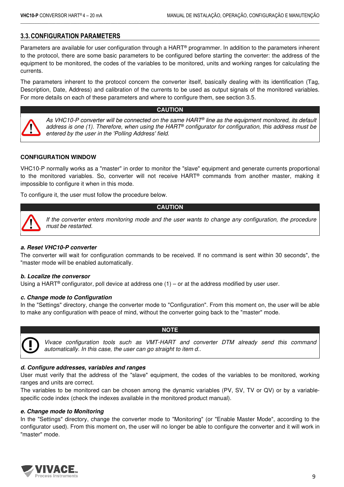# **3.3.CONFIGURATION PARAMETERS**

Parameters are available for user configuration through a HART® programmer. In addition to the parameters inherent to the protocol, there are some basic parameters to be configured before starting the converter: the address of the equipment to be monitored, the codes of the variables to be monitored, units and working ranges for calculating the currents.

 $\Box$  . The contribution of the contribution of the contribution of the contribution of the contribution of the contribution of the contribution of the contribution of the contribution of the contribution of the contributi

The parameters inherent to the protocol concern the converter itself, basically dealing with its identification (Tag, Description, Date, Address) and calibration of the currents to be used as output signals of the monitored variables. For more details on each of these parameters and where to configure them, see section 3.5.

#### **CAUTION**



As VHC10-P converter will be connected on the same HART® line as the equipment monitored, its default address is one (1). Therefore, when using the HART® configurator for configuration, this address must be entered by the user in the 'Polling Address' field.

#### **CONFIGURATION WINDOW**

VHC10-P normally works as a "master" in order to monitor the "slave" equipment and generate currents proportional to the monitored variables. So, converter will not receive HART® commands from another master, making it impossible to configure it when in this mode.

**CAUTION**

To configure it, the user must follow the procedure below.



If the converter enters monitoring mode and the user wants to change any configuration, the procedure must be restarted.

#### *a. Reset VHC10-P converter*

The converter will wait for configuration commands to be received. If no command is sent within 30 seconds", the "master mode will be enabled automatically.

#### *b. Localize the conversor*

Using a HART<sup>®</sup> configurator, poll device at address one  $(1)$  – or at the address modified by user user.

#### *c. Change mode to Configuration*

In the "Settings" directory, change the converter mode to "Configuration". From this moment on, the user will be able to make any configuration with peace of mind, without the converter going back to the "master" mode.

**NOTE**



Vivace configuration tools such as VMT-HART and converter DTM already send this command automatically. In this case, the user can go straight to item d..

#### *d. Configure addresses, variables and ranges*

User must verify that the address of the "slave" equipment, the codes of the variables to be monitored, working ranges and units are correct.

The variables to be monitored can be chosen among the dynamic variables (PV, SV, TV or QV) or by a variablespecific code index (check the indexes available in the monitored product manual).

#### *e. Change mode to Monitoring*

In the "Settings" directory, change the converter mode to "Monitoring" (or "Enable Master Mode", according to the configurator used). From this moment on, the user will no longer be able to configure the converter and it will work in "master" mode.

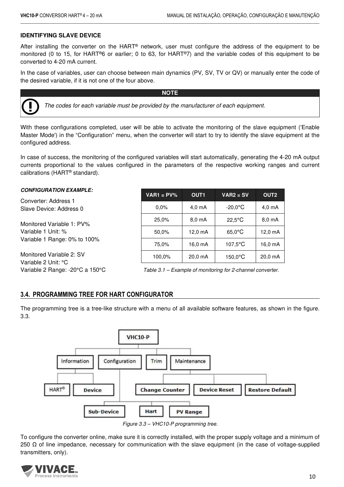#### **IDENTIFYING SLAVE DEVICE**

After installing the converter on the HART® network, user must configure the address of the equipment to be monitored (0 to 15, for HART®6 or earlier; 0 to 63, for HART®7) and the variable codes of this equipment to be converted to 4-20 mA current.

 $\Box$  . The contribution of the contribution of the contribution of the contribution of the contribution of the contribution of the contribution of the contribution of the contribution of the contribution of the contributi

In the case of variables, user can choose between main dynamics (PV, SV, TV or QV) or manually enter the code of the desired variable, if it is not one of the four above.

**NOTE**



The codes for each variable must be provided by the manufacturer of each equipment.

With these configurations completed, user will be able to activate the monitoring of the slave equipment ('Enable Master Mode') in the "Configuration" menu, when the converter will start to try to identify the slave equipment at the configured address.

In case of success, the monitoring of the configured variables will start automatically, generating the 4-20 mA output currents proportional to the values configured in the parameters of the respective working ranges and current calibrations (HART® standard).

| <b>CONFIGURATION EXAMPLE:</b>                                                                                                                                                                                                                                                                                                      | $VARI = PV%$ | OUT <sub>1</sub>  | $VAR2 = SV$      | OUT <sub>2</sub>   |  |  |
|------------------------------------------------------------------------------------------------------------------------------------------------------------------------------------------------------------------------------------------------------------------------------------------------------------------------------------|--------------|-------------------|------------------|--------------------|--|--|
| Converter: Address 1<br>Slave Device: Address 0                                                                                                                                                                                                                                                                                    | $0.0\%$      | $4.0 \text{ mA}$  | $-20.0$ °C       | 4.0 <sub>m</sub> A |  |  |
| Monitored Variable 1: PV%                                                                                                                                                                                                                                                                                                          | 25,0%        | 8.0 mA            | $22.5^{\circ}$ C | 8.0 mA             |  |  |
| Variable 1 Unit: %                                                                                                                                                                                                                                                                                                                 | 50,0%        | $12.0 \text{ mA}$ | $65.0^{\circ}$ C | 12,0 mA            |  |  |
| Variable 1 Range: 0% to 100%                                                                                                                                                                                                                                                                                                       | 75,0%        | 16,0 mA           | $107.5$ °C       | 16,0 mA            |  |  |
| Monitored Variable 2: SV<br>Variable 2 Unit: °C                                                                                                                                                                                                                                                                                    | 100,0%       | 20.0 mA           | $150.0$ °C       | 20,0 mA            |  |  |
| $\mathbf{y}$ $\mathbf{y}$ $\mathbf{y}$ $\mathbf{y}$ $\mathbf{y}$ $\mathbf{y}$ $\mathbf{y}$ $\mathbf{y}$ $\mathbf{y}$ $\mathbf{y}$ $\mathbf{y}$ $\mathbf{y}$ $\mathbf{y}$ $\mathbf{y}$ $\mathbf{y}$ $\mathbf{y}$ $\mathbf{y}$ $\mathbf{y}$ $\mathbf{y}$ $\mathbf{y}$ $\mathbf{y}$ $\mathbf{y}$ $\mathbf{y}$ $\mathbf{y}$ $\mathbf{$ |              |                   | .                |                    |  |  |

Variable 2 Range: -20 $\degree$ C a 150 $\degree$ C Table 3.1 – Example of monitoring for 2-channel converter.

#### **3.4. PROGRAMMING TREE FOR HART CONFIGURATOR**

The programming tree is a tree-like structure with a menu of all available software features, as shown in the figure. 3.3.



Figure 3.3 – VHC10-P programming tree.

To configure the converter online, make sure it is correctly installed, with the proper supply voltage and a minimum of 250  $Ω$  of line impedance, necessary for communication with the slave equipment (in the case of voltage-supplied transmitters, only).

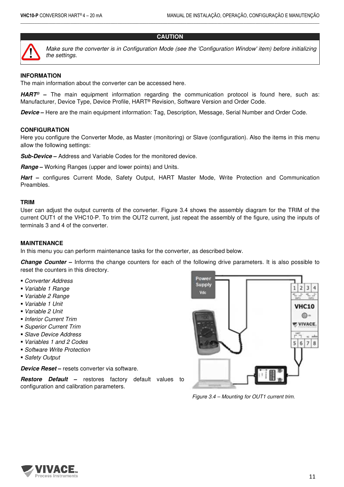

Make sure the converter is in Configuration Mode (see the 'Configuration Window' item) before initializing the settings.

## **INFORMATION**

The main information about the converter can be accessed here.

*HART*® **–** The main equipment information regarding the communication protocol is found here, such as: Manufacturer, Device Type, Device Profile, HART® Revision, Software Version and Order Code.

 $\Box$  . The contribution of the contribution of the contribution of the contribution of the contribution of the contribution of the contribution of the contribution of the contribution of the contribution of the contributi

**CAUTION**

*Device* **–** Here are the main equipment information: Tag, Description, Message, Serial Number and Order Code.

#### **CONFIGURATION**

Here you configure the Converter Mode, as Master (monitoring) or Slave (configuration). Also the items in this menu allow the following settings:

**Sub-Device** – Address and Variable Codes for the monitored device.

*Range* **–** Working Ranges (upper and lower points) and Units.

*Hart* **–** configures Current Mode, Safety Output, HART Master Mode, Write Protection and Communication Preambles.

#### **TRIM**

User can adjust the output currents of the converter. Figure 3.4 shows the assembly diagram for the TRIM of the current OUT1 of the VHC10-P. To trim the OUT2 current, just repeat the assembly of the figure, using the inputs of terminals 3 and 4 of the converter.

#### **MAINTENANCE**

In this menu you can perform maintenance tasks for the converter, as described below.

*Change Counter* **–** Informs the change counters for each of the following drive parameters. It is also possible to reset the counters in this directory.

- Converter Address
- Variable 1 Range
- Variable 2 Range
- Variable 1 Unit
- Variable 2 Unit
- **Inferior Current Trim**
- Superior Current Trim
- Slave Device Address
- Variables 1 and 2 Codes
- **Software Write Protection**
- Safety Output

*Device Reset* **–** resets converter via software.

*Restore Default* **–** restores factory default values to configuration and calibration parameters.



Figure 3.4 – Mounting for OUT1 current trim.

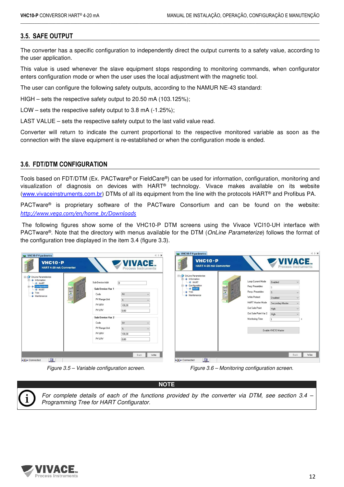## **3.5. SAFE OUTPUT**

The converter has a specific configuration to independently direct the output currents to a safety value, according to the user application.

 $\Box$  . The contribution of the contribution of the contribution of the contribution of the contribution of the contribution of the contribution of the contribution of the contribution of the contribution of the contributi

This value is used whenever the slave equipment stops responding to monitoring commands, when configurator enters configuration mode or when the user uses the local adjustment with the magnetic tool.

The user can configure the following safety outputs, according to the NAMUR NE-43 standard:

HIGH – sets the respective safety output to 20.50 mA (103.125%);

LOW – sets the respective safety output to  $3.8 \text{ mA}$  (-1.25%);

LAST VALUE – sets the respective safety output to the last valid value read.

Converter will return to indicate the current proportional to the respective monitored variable as soon as the connection with the slave equipment is re-established or when the configuration mode is ended.

#### **3.6. FDT/DTM CONFIGURATION**

Tools based on FDT/DTM (Ex. PACTware® or FieldCare®) can be used for information, configuration, monitoring and visualization of diagnosis on devices with HART® technology. Vivace makes available on its website (www.vivaceinstruments.com.br) DTMs of all its equipment from the line with the protocols HART® and Profibus PA.

PACTware® is proprietary software of the PACTware Consortium and can be found on the website: *http://www.vega.com/en/home\_br/Downloads*

The following figures show some of the VHC10-P DTM screens using the Vivace VCI10-UH interface with PACTware®. Note that the directory with menus available for the DTM (OnLine Parameterize) follows the format of the configuration tree displayed in the item 3.4 (figure 3.3).



Figure 3.5 – Variable configuration screen. Figure 3.6 – Monitoring configuration screen.



For complete details of each of the functions provided by the converter via DTM, see section 3.4 – Programming Tree for HART Configurator.

**NOTE**

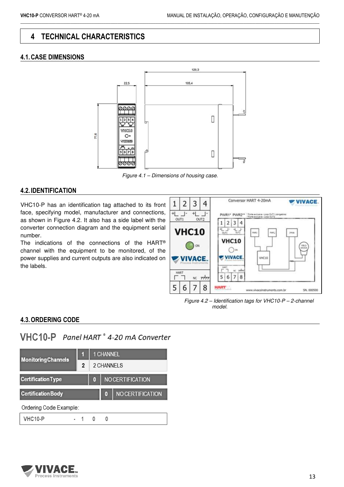# **4 TECHNICAL CHARACTERISTICS**

# **4.1.CASE DIMENSIONS**



 $\Box$  . The contribution of the contribution of the contribution of the contribution of the contribution of the contribution of the contribution of the contribution of the contribution of the contribution of the contributi

Figure 4.1 – Dimensions of housing case.

## **4.2. IDENTIFICATION**

VHC10-P has an identification tag attached to its front face, specifying model, manufacturer and connections, as shown in Figure 4.2. It also has a side label with the converter connection diagram and the equipment serial number.

The indications of the connections of the HART® channel with the equipment to be monitored, of the power supplies and current outputs are also indicated on the labels.



Figure 4.2 – Identification tags for VHC10-P – 2-channel model.

# **4.3.ORDERING CODE**

# VHC10-P Panel HART ° 4-20 mA Converter

| <b>Monitoring Channels</b> |                |  | <b>1 CHANNEL</b>        |                         |  |  |
|----------------------------|----------------|--|-------------------------|-------------------------|--|--|
|                            | $\overline{2}$ |  | 2 CHANNELS              |                         |  |  |
| <b>Certification Type</b>  |                |  | <b>NO CERTIFICATION</b> |                         |  |  |
| <b>Certification Body</b>  |                |  | 0                       | <b>NO CERTIFICATION</b> |  |  |
| Ordering Code Example:     |                |  |                         |                         |  |  |
| <b>VHC10-P</b>             |                |  | 0                       |                         |  |  |
|                            |                |  |                         |                         |  |  |

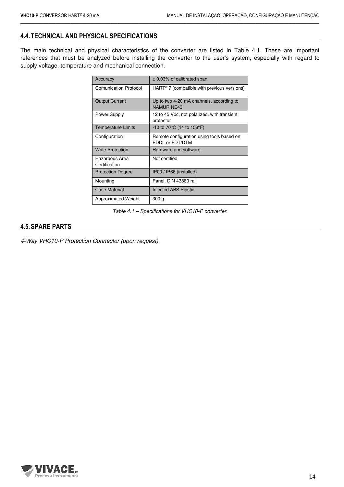# **4.4.TECHNICAL AND PHYSICAL SPECIFICATIONS**

The main technical and physical characteristics of the converter are listed in Table 4.1. These are important references that must be analyzed before installing the converter to the user's system, especially with regard to supply voltage, temperature and mechanical connection.

 $\Box$  . The contribution of the contribution of the contribution of the contribution of the contribution of the contribution of the contribution of the contribution of the contribution of the contribution of the contributi

| Accuracy                        | $\pm$ 0,03% of calibrated span                                |  |  |  |  |
|---------------------------------|---------------------------------------------------------------|--|--|--|--|
| <b>Comunication Protocol</b>    | $HART^{\omega}$ 7 (compatible with previous versions)         |  |  |  |  |
| <b>Output Current</b>           | Up to two 4-20 mA channels, according to<br><b>NAMUR NF43</b> |  |  |  |  |
| Power Supply                    | 12 to 45 Vdc, not polarized, with transient<br>protector      |  |  |  |  |
| <b>Temperature Limits</b>       | $-10$ to 70 $\degree$ C (14 to 158 $\degree$ F)               |  |  |  |  |
| Configuration                   | Remote configuration using tools based on<br>EDDL or FDT/DTM  |  |  |  |  |
| <b>Write Protection</b>         | Hardware and software                                         |  |  |  |  |
| Hazardous Area<br>Certification | Not certified                                                 |  |  |  |  |
| <b>Protection Degree</b>        | IP00 / IP66 (installed)                                       |  |  |  |  |
| Mounting                        | Panel, DIN 43880 rail                                         |  |  |  |  |
| <b>Case Material</b>            | Injected ABS Plastic                                          |  |  |  |  |
| Approximated Weight             | 300 g                                                         |  |  |  |  |

Table 4.1 – Specifications for VHC10-P converter.

## **4.5.SPARE PARTS**

4-Way VHC10-P Protection Connector (upon request).

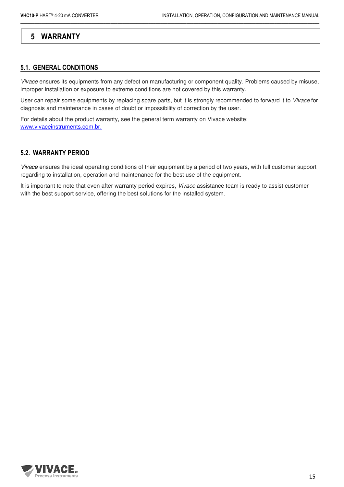# **5 WARRANTY**

#### **5.1. GENERAL CONDITIONS**

Vivace ensures its equipments from any defect on manufacturing or component quality. Problems caused by misuse, improper installation or exposure to extreme conditions are not covered by this warranty.

 $\Box$  . The contribution of the contribution of the contribution of the contribution of the contribution of the contribution of the contribution of the contribution of the contribution of the contribution of the contributi

User can repair some equipments by replacing spare parts, but it is strongly recommended to forward it to Vivace for diagnosis and maintenance in cases of doubt or impossibility of correction by the user.

For details about the product warranty, see the general term warranty on Vivace website: www.vivaceinstruments.com.br.

#### **5.2. WARRANTY PERIOD**

Vivace ensures the ideal operating conditions of their equipment by a period of two years, with full customer support regarding to installation, operation and maintenance for the best use of the equipment.

It is important to note that even after warranty period expires, Vivace assistance team is ready to assist customer with the best support service, offering the best solutions for the installed system.

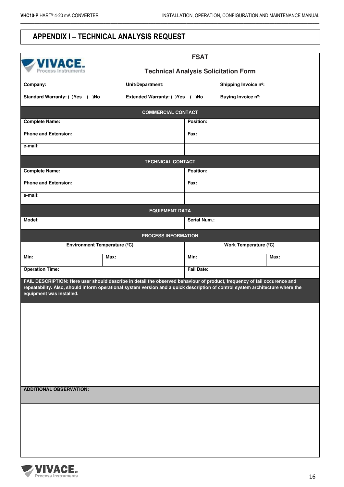# **APPENDIX I – TECHNICAL ANALYSIS REQUEST**

| <b>FSAT</b><br><b>ZVIVACE.</b><br><b>Technical Analysis Solicitation Form</b><br>Process Instruments                                                                                                                                                                                   |                  |                               |                      |                       |      |  |  |
|----------------------------------------------------------------------------------------------------------------------------------------------------------------------------------------------------------------------------------------------------------------------------------------|------------------|-------------------------------|----------------------|-----------------------|------|--|--|
| Company:                                                                                                                                                                                                                                                                               | Unit/Department: |                               | Shipping Invoice nº: |                       |      |  |  |
| Standard Warranty: ()Yes ()No                                                                                                                                                                                                                                                          |                  | Extended Warranty: ()Yes ()No |                      | Buying Invoice nº:    |      |  |  |
|                                                                                                                                                                                                                                                                                        |                  | <b>COMMERCIAL CONTACT</b>     |                      |                       |      |  |  |
| <b>Complete Name:</b>                                                                                                                                                                                                                                                                  |                  |                               | Position:            |                       |      |  |  |
| <b>Phone and Extension:</b>                                                                                                                                                                                                                                                            |                  |                               | Fax:                 |                       |      |  |  |
| e-mail:                                                                                                                                                                                                                                                                                |                  |                               |                      |                       |      |  |  |
|                                                                                                                                                                                                                                                                                        |                  | <b>TECHNICAL CONTACT</b>      |                      |                       |      |  |  |
| <b>Complete Name:</b>                                                                                                                                                                                                                                                                  |                  |                               | Position:            |                       |      |  |  |
| <b>Phone and Extension:</b>                                                                                                                                                                                                                                                            |                  |                               | Fax:                 |                       |      |  |  |
| e-mail:                                                                                                                                                                                                                                                                                |                  |                               |                      |                       |      |  |  |
|                                                                                                                                                                                                                                                                                        |                  | <b>EQUIPMENT DATA</b>         |                      |                       |      |  |  |
| Model:                                                                                                                                                                                                                                                                                 |                  |                               | Serial Num.:         |                       |      |  |  |
|                                                                                                                                                                                                                                                                                        |                  | <b>PROCESS INFORMATION</b>    |                      |                       |      |  |  |
| Environment Temperature (°C)                                                                                                                                                                                                                                                           |                  |                               |                      | Work Temperature (°C) |      |  |  |
| Min:                                                                                                                                                                                                                                                                                   | Max:             |                               | Min:                 |                       | Max: |  |  |
| <b>Operation Time:</b>                                                                                                                                                                                                                                                                 |                  |                               | <b>Fail Date:</b>    |                       |      |  |  |
| FAIL DESCRIPTION: Here user should describe in detail the observed behaviour of product, frequency of fail occurence and<br>repeatability. Also, should inform operational system version and a quick description of control system architecture where the<br>equipment was installed. |                  |                               |                      |                       |      |  |  |
|                                                                                                                                                                                                                                                                                        |                  |                               |                      |                       |      |  |  |
|                                                                                                                                                                                                                                                                                        |                  |                               |                      |                       |      |  |  |
| <b>ADDITIONAL OBSERVATION:</b>                                                                                                                                                                                                                                                         |                  |                               |                      |                       |      |  |  |
|                                                                                                                                                                                                                                                                                        |                  |                               |                      |                       |      |  |  |
|                                                                                                                                                                                                                                                                                        |                  |                               |                      |                       |      |  |  |
|                                                                                                                                                                                                                                                                                        |                  |                               |                      |                       |      |  |  |
|                                                                                                                                                                                                                                                                                        |                  |                               |                      |                       |      |  |  |
|                                                                                                                                                                                                                                                                                        |                  |                               |                      |                       |      |  |  |
|                                                                                                                                                                                                                                                                                        |                  |                               |                      |                       |      |  |  |

 $\Box$  . The contribution of the contribution of the contribution of the contribution of the contribution of the contribution of the contribution of the contribution of the contribution of the contribution of the contributi